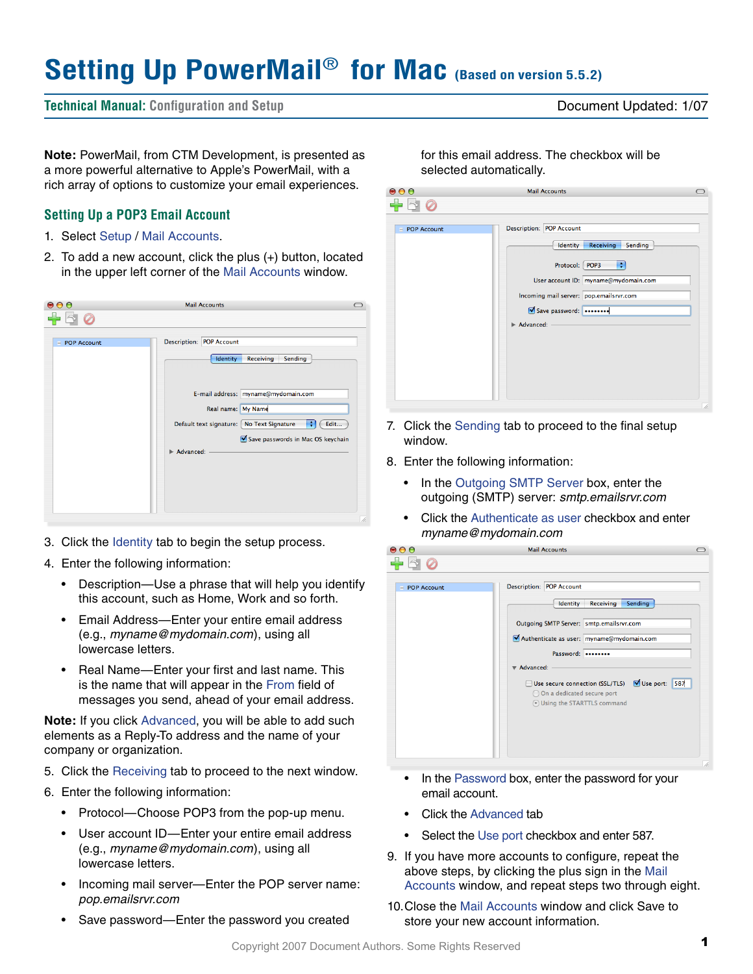# **Setting Up PowerMail**® **for Mac (Based on version 5.5.2)**

**Technical Manual: Configuration and Setup** Document Updated: 1/07

**Note:** PowerMail, from CTM Development, is presented as a more powerful alternative to Apple's PowerMail, with a rich array of options to customize your email experiences.

## **Setting Up a POP3 Email Account**

- 1. Select Setup / Mail Accounts.
- 2. To add a new account, click the plus (+) button, located in the upper left corner of the Mail Accounts window.

| $\bullet\bullet\bullet$ | <b>Mail Accounts</b>                                   |  |
|-------------------------|--------------------------------------------------------|--|
|                         |                                                        |  |
|                         |                                                        |  |
| <b>POP Account</b>      | <b>Description: POP Account</b>                        |  |
|                         | Identity<br>Receiving<br>Sending                       |  |
|                         |                                                        |  |
|                         |                                                        |  |
|                         | E-mail address: myname@mydomain.com                    |  |
|                         | Real name: My Name                                     |  |
|                         | ÷<br>Default text signature: No Text Signature<br>Edit |  |
|                         | Save passwords in Mac OS keychain                      |  |
|                         | $\blacktriangleright$ Advanced:                        |  |
|                         |                                                        |  |
|                         |                                                        |  |
|                         |                                                        |  |
|                         |                                                        |  |
|                         |                                                        |  |
|                         |                                                        |  |

- 3. Click the Identity tab to begin the setup process.
- 4. Enter the following information:
	- Description—Use a phrase that will help you identify this account, such as Home, Work and so forth.
	- Email Address—Enter your entire email address (e.g., *myname@mydomain.com*), using all lowercase letters.
	- Real Name—Enter your first and last name. This is the name that will appear in the From field of messages you send, ahead of your email address.

**Note:** If you click Advanced, you will be able to add such elements as a Reply-To address and the name of your company or organization.

- 5. Click the Receiving tab to proceed to the next window.
- 6. Enter the following information:
	- Protocol—Choose POP3 from the pop-up menu.
	- User account ID—Enter your entire email address (e.g., *myname@mydomain.com*), using all lowercase letters.
	- Incoming mail server—Enter the POP server name: *pop.emailsrvr.com*
	- Save password—Enter the password you created

for this email address. The checkbox will be selected automatically.

| POP Account | <b>Description: POP Account</b>         |
|-------------|-----------------------------------------|
|             | Identity<br><b>Receiving</b><br>Sending |
|             | ÷<br>Protocol: POP3                     |
|             | User account ID: myname@mydomain.com    |
|             | Incoming mail server: pop.emailsrvr.com |
|             | Save password:                          |
|             | Advanced:                               |
|             |                                         |
|             |                                         |
|             |                                         |

- 7. Click the Sending tab to proceed to the final setup window.
- 8. Enter the following information:
	- In the Outgoing SMTP Server box, enter the outgoing (SMTP) server: *smtp.emailsrvr.com*
	- Click the Authenticate as user checkbox and enter *myname@mydomain.com*

| 00                             | <b>Mail Accounts</b>                                                                                                                                                      |
|--------------------------------|---------------------------------------------------------------------------------------------------------------------------------------------------------------------------|
|                                |                                                                                                                                                                           |
| <b>POP Account</b><br>$\equiv$ | <b>Description: POP Account</b><br>Receiving<br>Sending<br>Identity<br>Outgoing SMTP Server: smtp.emailsrvr.com<br>Authenticate as user: myname@mydomain.com<br>Password: |
|                                | Advanced:<br>Use port:<br>Use secure connection (SSL/TLS)<br>587<br>◯ On a dedicated secure port<br><b>O</b> Using the STARTTLS command                                   |
|                                |                                                                                                                                                                           |

- In the Password box, enter the password for your email account.
- Click the Advanced tab
- Select the Use port checkbox and enter 587.
- 9. If you have more accounts to configure, repeat the above steps, by clicking the plus sign in the Mail Accounts window, and repeat steps two through eight.
- 10.Close the Mail Accounts window and click Save to store your new account information.